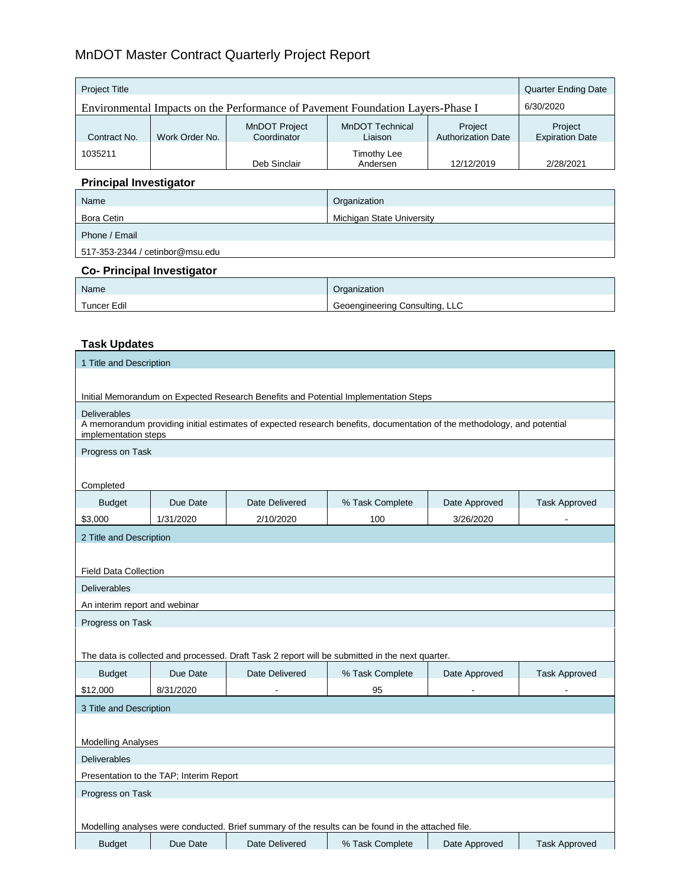# MnDOT Master Contract Quarterly Project Report

| <b>Project Title</b>                                                           |                |                              |                                   | <b>Quarter Ending Date</b>           |                                   |
|--------------------------------------------------------------------------------|----------------|------------------------------|-----------------------------------|--------------------------------------|-----------------------------------|
| Environmental Impacts on the Performance of Pavement Foundation Layers-Phase I |                |                              | 6/30/2020                         |                                      |                                   |
| Contract No.                                                                   | Work Order No. | MnDOT Project<br>Coordinator | <b>MnDOT Technical</b><br>Liaison | Project<br><b>Authorization Date</b> | Project<br><b>Expiration Date</b> |
| 1035211                                                                        |                | Deb Sinclair                 | <b>Timothy Lee</b><br>Andersen    | 12/12/2019                           | 2/28/2021                         |

#### **Principal Investigator**

| Name                            | Organization              |
|---------------------------------|---------------------------|
| Bora Cetin                      | Michigan State University |
| Phone / Email                   |                           |
| 517-353-2344 / cetinbor@msu.edu |                           |

### **Co- Principal Investigator**

| Name               | Organization                   |
|--------------------|--------------------------------|
| <b>Tuncer Edil</b> | Geoengineering Consulting, LLC |

### **Task Updates**

| 1 Title and Description                                                             |           |                |                                                                                                                         |               |                      |
|-------------------------------------------------------------------------------------|-----------|----------------|-------------------------------------------------------------------------------------------------------------------------|---------------|----------------------|
|                                                                                     |           |                |                                                                                                                         |               |                      |
| Initial Memorandum on Expected Research Benefits and Potential Implementation Steps |           |                |                                                                                                                         |               |                      |
| Deliverables                                                                        |           |                |                                                                                                                         |               |                      |
| implementation steps                                                                |           |                | A memorandum providing initial estimates of expected research benefits, documentation of the methodology, and potential |               |                      |
| Progress on Task                                                                    |           |                |                                                                                                                         |               |                      |
|                                                                                     |           |                |                                                                                                                         |               |                      |
| Completed                                                                           |           |                |                                                                                                                         |               |                      |
| <b>Budget</b>                                                                       | Due Date  | Date Delivered | % Task Complete                                                                                                         | Date Approved | <b>Task Approved</b> |
| \$3,000                                                                             | 1/31/2020 | 2/10/2020      | 100                                                                                                                     | 3/26/2020     |                      |
| 2 Title and Description                                                             |           |                |                                                                                                                         |               |                      |
|                                                                                     |           |                |                                                                                                                         |               |                      |
| <b>Field Data Collection</b>                                                        |           |                |                                                                                                                         |               |                      |
| <b>Deliverables</b>                                                                 |           |                |                                                                                                                         |               |                      |
| An interim report and webinar                                                       |           |                |                                                                                                                         |               |                      |
| Progress on Task                                                                    |           |                |                                                                                                                         |               |                      |
|                                                                                     |           |                |                                                                                                                         |               |                      |
|                                                                                     |           |                | The data is collected and processed. Draft Task 2 report will be submitted in the next quarter.                         |               |                      |
| <b>Budget</b>                                                                       | Due Date  | Date Delivered | % Task Complete                                                                                                         | Date Approved | <b>Task Approved</b> |
| \$12,000                                                                            | 8/31/2020 |                | 95                                                                                                                      |               |                      |
| 3 Title and Description                                                             |           |                |                                                                                                                         |               |                      |
|                                                                                     |           |                |                                                                                                                         |               |                      |
| <b>Modelling Analyses</b>                                                           |           |                |                                                                                                                         |               |                      |
| <b>Deliverables</b>                                                                 |           |                |                                                                                                                         |               |                      |
| Presentation to the TAP; Interim Report                                             |           |                |                                                                                                                         |               |                      |
| Progress on Task                                                                    |           |                |                                                                                                                         |               |                      |
|                                                                                     |           |                |                                                                                                                         |               |                      |
|                                                                                     |           |                | Modelling analyses were conducted. Brief summary of the results can be found in the attached file.                      |               |                      |
| <b>Budget</b>                                                                       | Due Date  | Date Delivered | % Task Complete                                                                                                         | Date Approved | <b>Task Approved</b> |